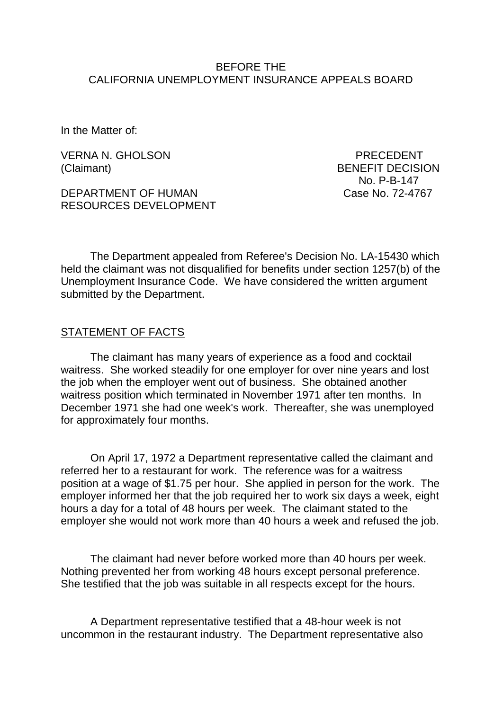#### BEFORE THE CALIFORNIA UNEMPLOYMENT INSURANCE APPEALS BOARD

In the Matter of:

VERNA N. GHOLSON PRECEDENT (Claimant) BENEFIT DECISION

DEPARTMENT OF HUMAN Case No. 72-4767 RESOURCES DEVELOPMENT

No. P-B-147

The Department appealed from Referee's Decision No. LA-15430 which held the claimant was not disqualified for benefits under section 1257(b) of the Unemployment Insurance Code. We have considered the written argument submitted by the Department.

#### STATEMENT OF FACTS

The claimant has many years of experience as a food and cocktail waitress. She worked steadily for one employer for over nine years and lost the job when the employer went out of business. She obtained another waitress position which terminated in November 1971 after ten months. In December 1971 she had one week's work. Thereafter, she was unemployed for approximately four months.

On April 17, 1972 a Department representative called the claimant and referred her to a restaurant for work. The reference was for a waitress position at a wage of \$1.75 per hour. She applied in person for the work. The employer informed her that the job required her to work six days a week, eight hours a day for a total of 48 hours per week. The claimant stated to the employer she would not work more than 40 hours a week and refused the job.

The claimant had never before worked more than 40 hours per week. Nothing prevented her from working 48 hours except personal preference. She testified that the job was suitable in all respects except for the hours.

A Department representative testified that a 48-hour week is not uncommon in the restaurant industry. The Department representative also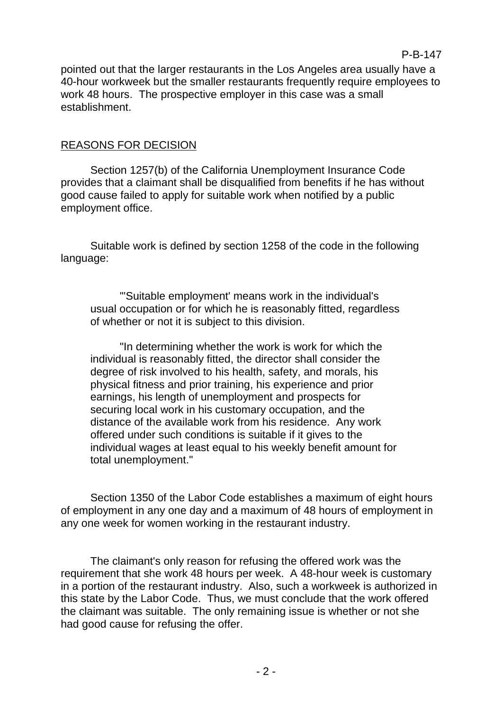pointed out that the larger restaurants in the Los Angeles area usually have a 40-hour workweek but the smaller restaurants frequently require employees to work 48 hours. The prospective employer in this case was a small establishment.

## REASONS FOR DECISION

Section 1257(b) of the California Unemployment Insurance Code provides that a claimant shall be disqualified from benefits if he has without good cause failed to apply for suitable work when notified by a public employment office.

Suitable work is defined by section 1258 of the code in the following language:

"'Suitable employment' means work in the individual's usual occupation or for which he is reasonably fitted, regardless of whether or not it is subject to this division.

"In determining whether the work is work for which the individual is reasonably fitted, the director shall consider the degree of risk involved to his health, safety, and morals, his physical fitness and prior training, his experience and prior earnings, his length of unemployment and prospects for securing local work in his customary occupation, and the distance of the available work from his residence. Any work offered under such conditions is suitable if it gives to the individual wages at least equal to his weekly benefit amount for total unemployment."

Section 1350 of the Labor Code establishes a maximum of eight hours of employment in any one day and a maximum of 48 hours of employment in any one week for women working in the restaurant industry.

The claimant's only reason for refusing the offered work was the requirement that she work 48 hours per week. A 48-hour week is customary in a portion of the restaurant industry. Also, such a workweek is authorized in this state by the Labor Code. Thus, we must conclude that the work offered the claimant was suitable. The only remaining issue is whether or not she had good cause for refusing the offer.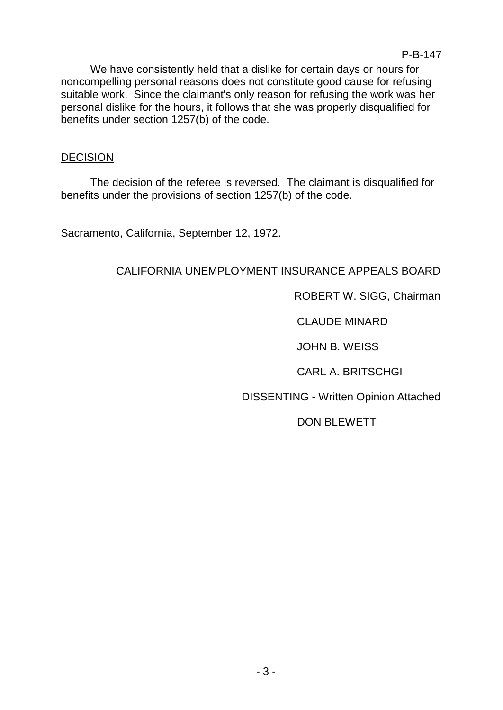We have consistently held that a dislike for certain days or hours for noncompelling personal reasons does not constitute good cause for refusing suitable work. Since the claimant's only reason for refusing the work was her personal dislike for the hours, it follows that she was properly disqualified for benefits under section 1257(b) of the code.

# DECISION

The decision of the referee is reversed. The claimant is disqualified for benefits under the provisions of section 1257(b) of the code.

Sacramento, California, September 12, 1972.

# CALIFORNIA UNEMPLOYMENT INSURANCE APPEALS BOARD

ROBERT W. SIGG, Chairman

CLAUDE MINARD

JOHN B. WEISS

CARL A. BRITSCHGI

DISSENTING - Written Opinion Attached

DON BLEWETT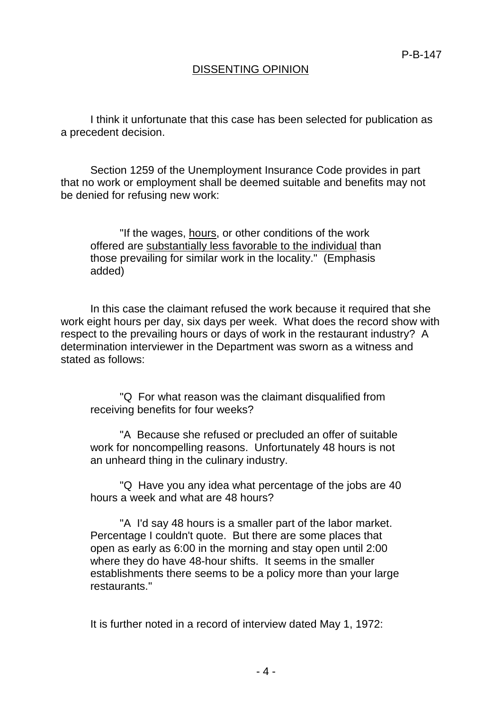# DISSENTING OPINION

I think it unfortunate that this case has been selected for publication as a precedent decision.

Section 1259 of the Unemployment Insurance Code provides in part that no work or employment shall be deemed suitable and benefits may not be denied for refusing new work:

"If the wages, hours, or other conditions of the work offered are substantially less favorable to the individual than those prevailing for similar work in the locality." (Emphasis added)

In this case the claimant refused the work because it required that she work eight hours per day, six days per week. What does the record show with respect to the prevailing hours or days of work in the restaurant industry? A determination interviewer in the Department was sworn as a witness and stated as follows:

"Q For what reason was the claimant disqualified from receiving benefits for four weeks?

"A Because she refused or precluded an offer of suitable work for noncompelling reasons. Unfortunately 48 hours is not an unheard thing in the culinary industry.

"Q Have you any idea what percentage of the jobs are 40 hours a week and what are 48 hours?

"A I'd say 48 hours is a smaller part of the labor market. Percentage I couldn't quote. But there are some places that open as early as 6:00 in the morning and stay open until 2:00 where they do have 48-hour shifts. It seems in the smaller establishments there seems to be a policy more than your large restaurants."

It is further noted in a record of interview dated May 1, 1972: